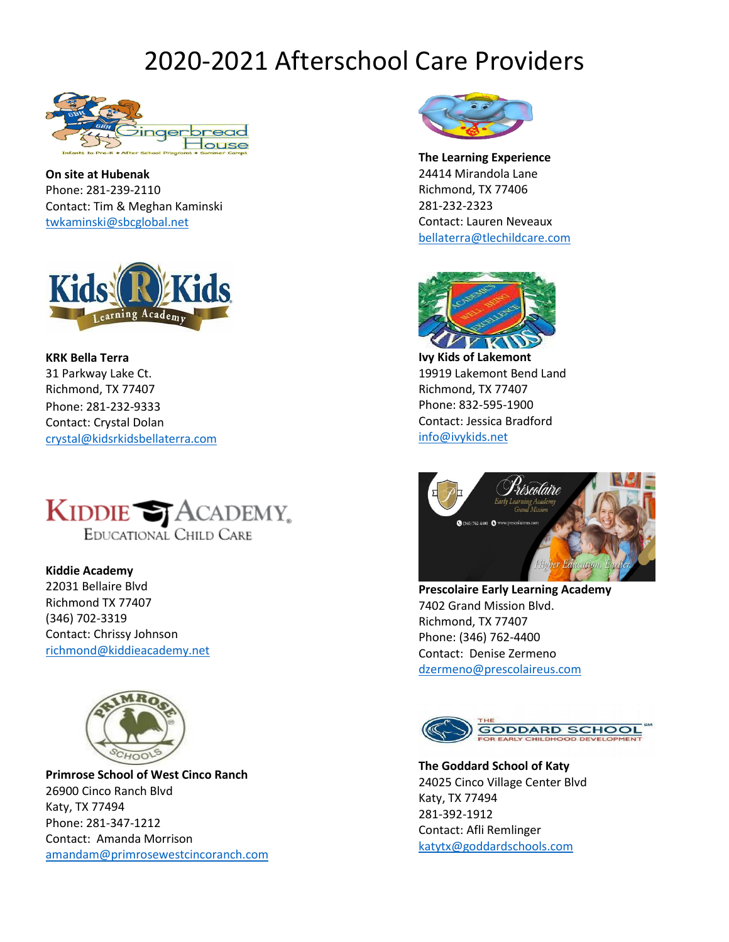# 2020-2021 Afterschool Care Providers



**On site at Hubenak** Phone: 281-239-2110 Contact: Tim & Meghan Kaminski [twkaminski@sbcglobal.net](mailto:twkaminski@sbcglobal.net) 



**KRK Bella Terra** 31 Parkway Lake Ct. Richmond, TX 77407 Phone: 281-232-9333 Contact: Crystal Dolan [crystal@kidsrkidsbellaterra.com](mailto:crystal@kidsrkidsbellaterra.com)



**Kiddie Academy** 22031 Bellaire Blvd Richmond TX 77407 (346) 702-3319 Contact: Chrissy Johnson [richmond@kiddieacademy.net](mailto:richmond@kiddieacademy.net)



**Primrose School of West Cinco Ranch** 26900 Cinco Ranch Blvd Katy, TX 77494 Phone: 281-347-1212 Contact: Amanda Morrison [amandam@primrosewestcincoranch.com](mailto:amandam@primrosewestcincoranch.com)



**The Learning Experience** 24414 Mirandola Lane Richmond, TX 77406 281-232-2323 Contact: Lauren Neveaux [bellaterra@tlechildcare.com](mailto:bellaterra@tlechildcare.com)



**Ivy Kids of Lakemont** 19919 Lakemont Bend Land Richmond, TX 77407 Phone: 832-595-1900 Contact: Jessica Bradford [info@ivykids.net](mailto:info@ivykids.net)



**Prescolaire Early Learning Academy** 7402 Grand Mission Blvd. Richmond, TX 77407 Phone: (346) 762-4400 Contact: Denise Zermeno [dzermeno@prescolaireus.com](mailto:dzermeno@prescolaireus.com)



**The Goddard School of Katy** 24025 Cinco Village Center Blvd Katy, TX 77494 281-392-1912 Contact: Afli Remlinger [katytx@goddardschools.com](mailto:katytx@goddardschools.com)